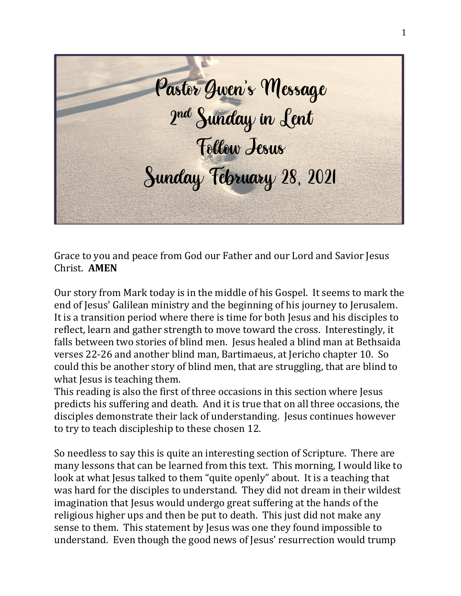Pastor Gwen's Message 2 nd Sunday in Lent Follow Jesus Sunday February 28, 2021

Grace to you and peace from God our Father and our Lord and Savior Jesus Christ. **AMEN**

Our story from Mark today is in the middle of his Gospel. It seems to mark the end of Jesus' Galilean ministry and the beginning of his journey to Jerusalem. It is a transition period where there is time for both Jesus and his disciples to reflect, learn and gather strength to move toward the cross. Interestingly, it falls between two stories of blind men. Jesus healed a blind man at Bethsaida verses 22-26 and another blind man, Bartimaeus, at Jericho chapter 10. So could this be another story of blind men, that are struggling, that are blind to what Jesus is teaching them.

This reading is also the first of three occasions in this section where Jesus predicts his suffering and death. And it is true that on all three occasions, the disciples demonstrate their lack of understanding. Jesus continues however to try to teach discipleship to these chosen 12.

So needless to say this is quite an interesting section of Scripture. There are many lessons that can be learned from this text. This morning, I would like to look at what Jesus talked to them "quite openly" about. It is a teaching that was hard for the disciples to understand. They did not dream in their wildest imagination that Jesus would undergo great suffering at the hands of the religious higher ups and then be put to death. This just did not make any sense to them. This statement by Jesus was one they found impossible to understand. Even though the good news of Jesus' resurrection would trump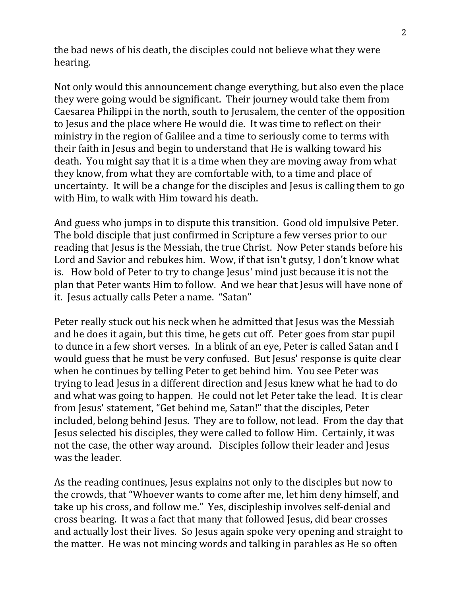the bad news of his death, the disciples could not believe what they were hearing.

Not only would this announcement change everything, but also even the place they were going would be significant. Their journey would take them from Caesarea Philippi in the north, south to Jerusalem, the center of the opposition to Jesus and the place where He would die. It was time to reflect on their ministry in the region of Galilee and a time to seriously come to terms with their faith in Jesus and begin to understand that He is walking toward his death. You might say that it is a time when they are moving away from what they know, from what they are comfortable with, to a time and place of uncertainty. It will be a change for the disciples and Jesus is calling them to go with Him, to walk with Him toward his death.

And guess who jumps in to dispute this transition. Good old impulsive Peter. The bold disciple that just confirmed in Scripture a few verses prior to our reading that Jesus is the Messiah, the true Christ. Now Peter stands before his Lord and Savior and rebukes him. Wow, if that isn't gutsy, I don't know what is. How bold of Peter to try to change Jesus' mind just because it is not the plan that Peter wants Him to follow. And we hear that Jesus will have none of it. Jesus actually calls Peter a name. "Satan"

Peter really stuck out his neck when he admitted that Jesus was the Messiah and he does it again, but this time, he gets cut off. Peter goes from star pupil to dunce in a few short verses. In a blink of an eye, Peter is called Satan and I would guess that he must be very confused. But Jesus' response is quite clear when he continues by telling Peter to get behind him. You see Peter was trying to lead Jesus in a different direction and Jesus knew what he had to do and what was going to happen. He could not let Peter take the lead. It is clear from Jesus' statement, "Get behind me, Satan!" that the disciples, Peter included, belong behind Jesus. They are to follow, not lead. From the day that Jesus selected his disciples, they were called to follow Him. Certainly, it was not the case, the other way around. Disciples follow their leader and Jesus was the leader.

As the reading continues, Jesus explains not only to the disciples but now to the crowds, that "Whoever wants to come after me, let him deny himself, and take up his cross, and follow me." Yes, discipleship involves self-denial and cross bearing. It was a fact that many that followed Jesus, did bear crosses and actually lost their lives. So Jesus again spoke very opening and straight to the matter. He was not mincing words and talking in parables as He so often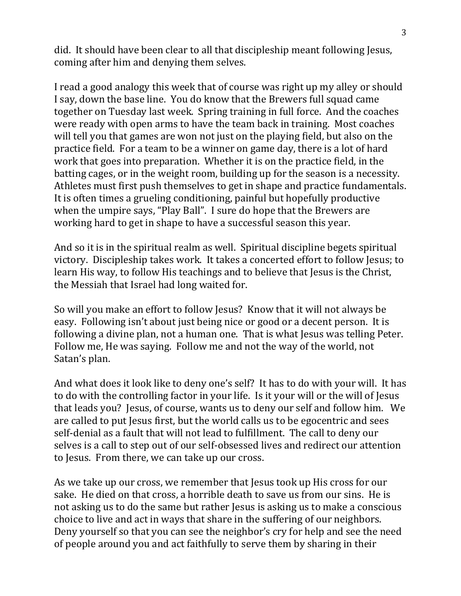did. It should have been clear to all that discipleship meant following Jesus, coming after him and denying them selves.

I read a good analogy this week that of course was right up my alley or should I say, down the base line. You do know that the Brewers full squad came together on Tuesday last week. Spring training in full force. And the coaches were ready with open arms to have the team back in training. Most coaches will tell you that games are won not just on the playing field, but also on the practice field. For a team to be a winner on game day, there is a lot of hard work that goes into preparation. Whether it is on the practice field, in the batting cages, or in the weight room, building up for the season is a necessity. Athletes must first push themselves to get in shape and practice fundamentals. It is often times a grueling conditioning, painful but hopefully productive when the umpire says, "Play Ball". I sure do hope that the Brewers are working hard to get in shape to have a successful season this year.

And so it is in the spiritual realm as well. Spiritual discipline begets spiritual victory. Discipleship takes work. It takes a concerted effort to follow Jesus; to learn His way, to follow His teachings and to believe that Jesus is the Christ, the Messiah that Israel had long waited for.

So will you make an effort to follow Jesus? Know that it will not always be easy. Following isn't about just being nice or good or a decent person. It is following a divine plan, not a human one. That is what Jesus was telling Peter. Follow me, He was saying. Follow me and not the way of the world, not Satan's plan.

And what does it look like to deny one's self? It has to do with your will. It has to do with the controlling factor in your life. Is it your will or the will of Jesus that leads you? Jesus, of course, wants us to deny our self and follow him. We are called to put Jesus first, but the world calls us to be egocentric and sees self-denial as a fault that will not lead to fulfillment. The call to deny our selves is a call to step out of our self-obsessed lives and redirect our attention to Jesus. From there, we can take up our cross.

As we take up our cross, we remember that Jesus took up His cross for our sake. He died on that cross, a horrible death to save us from our sins. He is not asking us to do the same but rather Jesus is asking us to make a conscious choice to live and act in ways that share in the suffering of our neighbors. Deny yourself so that you can see the neighbor's cry for help and see the need of people around you and act faithfully to serve them by sharing in their